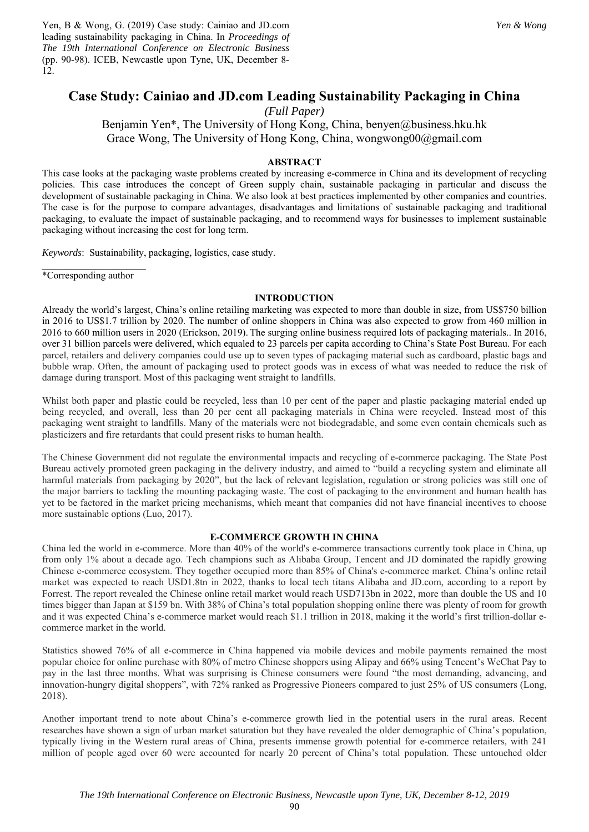Yen, B & Wong, G. (2019) Case study: Cainiao and JD.com leading sustainability packaging in China. In *Proceedings of The 19th International Conference on Electronic Business* (pp. 90-98). ICEB, Newcastle upon Tyne, UK, December 8- 12.

# **Case Study: Cainiao and JD.com Leading Sustainability Packaging in China**

*(Full Paper)* 

Benjamin Yen\*, The University of Hong Kong, China, benyen@business.hku.hk Grace Wong, The University of Hong Kong, China, wongwong00@gmail.com

# **ABSTRACT**

This case looks at the packaging waste problems created by increasing e-commerce in China and its development of recycling policies. This case introduces the concept of Green supply chain, sustainable packaging in particular and discuss the development of sustainable packaging in China. We also look at best practices implemented by other companies and countries. The case is for the purpose to compare advantages, disadvantages and limitations of sustainable packaging and traditional packaging, to evaluate the impact of sustainable packaging, and to recommend ways for businesses to implement sustainable packaging without increasing the cost for long term.

*Keywords*: Sustainability, packaging, logistics, case study.

 $\overline{\phantom{a}}$  , where  $\overline{\phantom{a}}$ \*Corresponding author

### **INTRODUCTION**

Already the world's largest, China's online retailing marketing was expected to more than double in size, from US\$750 billion in 2016 to US\$1.7 trillion by 2020. The number of online shoppers in China was also expected to grow from 460 million in 2016 to 660 million users in 2020 (Erickson, 2019). The surging online business required lots of packaging materials.. In 2016, over 31 billion parcels were delivered, which equaled to 23 parcels per capita according to China's State Post Bureau. For each parcel, retailers and delivery companies could use up to seven types of packaging material such as cardboard, plastic bags and bubble wrap. Often, the amount of packaging used to protect goods was in excess of what was needed to reduce the risk of damage during transport. Most of this packaging went straight to landfills.

Whilst both paper and plastic could be recycled, less than 10 per cent of the paper and plastic packaging material ended up being recycled, and overall, less than 20 per cent all packaging materials in China were recycled. Instead most of this packaging went straight to landfills. Many of the materials were not biodegradable, and some even contain chemicals such as plasticizers and fire retardants that could present risks to human health.

The Chinese Government did not regulate the environmental impacts and recycling of e-commerce packaging. The State Post Bureau actively promoted green packaging in the delivery industry, and aimed to "build a recycling system and eliminate all harmful materials from packaging by 2020", but the lack of relevant legislation, regulation or strong policies was still one of the major barriers to tackling the mounting packaging waste. The cost of packaging to the environment and human health has yet to be factored in the market pricing mechanisms, which meant that companies did not have financial incentives to choose more sustainable options (Luo, 2017).

# **E-COMMERCE GROWTH IN CHINA**

China led the world in e-commerce. More than 40% of the world's e-commerce transactions currently took place in China, up from only 1% about a decade ago. Tech champions such as Alibaba Group, Tencent and JD dominated the rapidly growing Chinese e-commerce ecosystem. They together occupied more than 85% of China's e-commerce market. China's online retail market was expected to reach USD1.8tn in 2022, thanks to local tech titans Alibaba and JD.com, according to a report by Forrest. The report revealed the Chinese online retail market would reach USD713bn in 2022, more than double the US and 10 times bigger than Japan at \$159 bn. With 38% of China's total population shopping online there was plenty of room for growth and it was expected China's e-commerce market would reach \$1.1 trillion in 2018, making it the world's first trillion-dollar ecommerce market in the world.

Statistics showed 76% of all e-commerce in China happened via mobile devices and mobile payments remained the most popular choice for online purchase with 80% of metro Chinese shoppers using Alipay and 66% using Tencent's WeChat Pay to pay in the last three months. What was surprising is Chinese consumers were found "the most demanding, advancing, and innovation-hungry digital shoppers", with 72% ranked as Progressive Pioneers compared to just 25% of US consumers (Long, 2018).

Another important trend to note about China's e-commerce growth lied in the potential users in the rural areas. Recent researches have shown a sign of urban market saturation but they have revealed the older demographic of China's population, typically living in the Western rural areas of China, presents immense growth potential for e-commerce retailers, with 241 million of people aged over 60 were accounted for nearly 20 percent of China's total population. These untouched older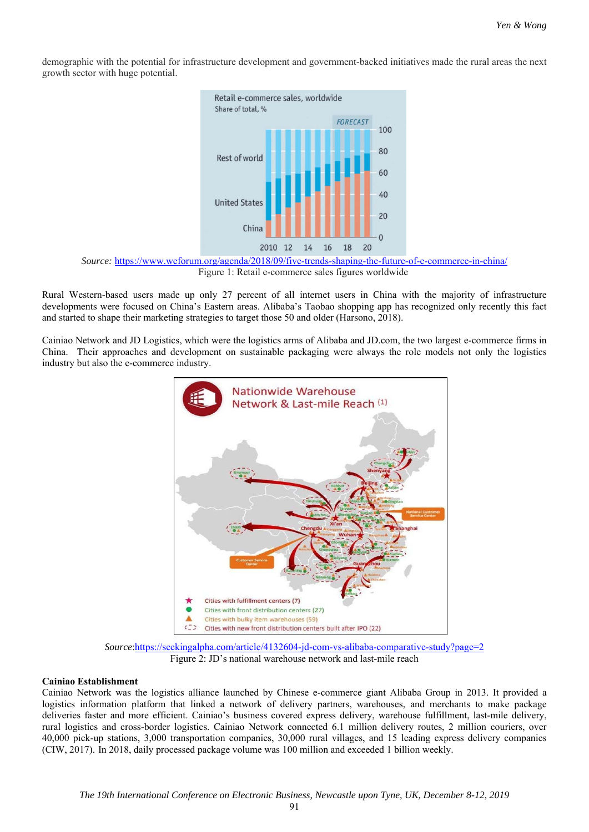demographic with the potential for infrastructure development and government-backed initiatives made the rural areas the next growth sector with huge potential.



*Source:* https://www.weforum.org/agenda/2018/09/five-trends-shaping-the-future-of-e-commerce-in-china/ Figure 1: Retail e-commerce sales figures worldwide

Rural Western-based users made up only 27 percent of all internet users in China with the majority of infrastructure developments were focused on China's Eastern areas. Alibaba's Taobao shopping app has recognized only recently this fact and started to shape their marketing strategies to target those 50 and older (Harsono, 2018).

Cainiao Network and JD Logistics, which were the logistics arms of Alibaba and JD.com, the two largest e-commerce firms in China. Their approaches and development on sustainable packaging were always the role models not only the logistics industry but also the e-commerce industry.



*Source*:https://seekingalpha.com/article/4132604-jd-com-vs-alibaba-comparative-study?page=2 Figure 2: JD's national warehouse network and last-mile reach

## **Cainiao Establishment**

Cainiao Network was the logistics alliance launched by Chinese e-commerce giant Alibaba Group in 2013. It provided a logistics information platform that linked a network of delivery partners, warehouses, and merchants to make package deliveries faster and more efficient. Cainiao's business covered express delivery, warehouse fulfillment, last-mile delivery, rural logistics and cross-border logistics. Cainiao Network connected 6.1 million delivery routes, 2 million couriers, over 40,000 pick-up stations, 3,000 transportation companies, 30,000 rural villages, and 15 leading express delivery companies (CIW, 2017). In 2018, daily processed package volume was 100 million and exceeded 1 billion weekly.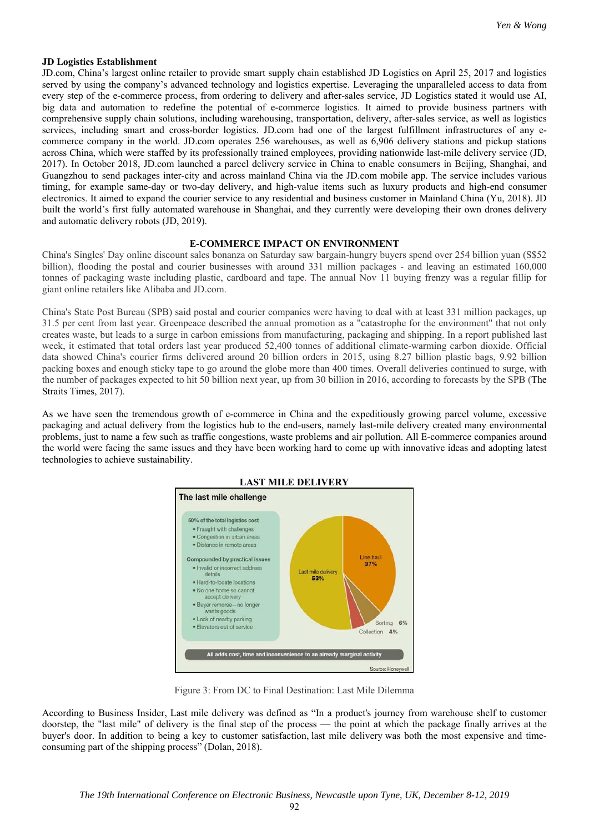### **JD Logistics Establishment**

JD.com, China's largest online retailer to provide smart supply chain established JD Logistics on April 25, 2017 and logistics served by using the company's advanced technology and logistics expertise. Leveraging the unparalleled access to data from every step of the e-commerce process, from ordering to delivery and after-sales service, JD Logistics stated it would use AI, big data and automation to redefine the potential of e-commerce logistics. It aimed to provide business partners with comprehensive supply chain solutions, including warehousing, transportation, delivery, after-sales service, as well as logistics services, including smart and cross-border logistics. JD.com had one of the largest fulfillment infrastructures of any ecommerce company in the world. JD.com operates 256 warehouses, as well as 6,906 delivery stations and pickup stations across China, which were staffed by its professionally trained employees, providing nationwide last-mile delivery service (JD, 2017). In October 2018, JD.com launched a parcel delivery service in China to enable consumers in Beijing, Shanghai, and Guangzhou to send packages inter-city and across mainland China via the JD.com mobile app. The service includes various timing, for example same-day or two-day delivery, and high-value items such as luxury products and high-end consumer electronics. It aimed to expand the courier service to any residential and business customer in Mainland China (Yu, 2018). JD built the world's first fully automated warehouse in Shanghai, and they currently were developing their own drones delivery and automatic delivery robots (JD, 2019).

## **E-COMMERCE IMPACT ON ENVIRONMENT**

China's Singles' Day online discount sales bonanza on Saturday saw bargain-hungry buyers spend over 254 billion yuan (S\$52 billion), flooding the postal and courier businesses with around 331 million packages - and leaving an estimated 160,000 tonnes of packaging waste including plastic, cardboard and tape. The annual Nov 11 buying frenzy was a regular fillip for giant online retailers like Alibaba and JD.com.

China's State Post Bureau (SPB) said postal and courier companies were having to deal with at least 331 million packages, up 31.5 per cent from last year. Greenpeace described the annual promotion as a "catastrophe for the environment" that not only creates waste, but leads to a surge in carbon emissions from manufacturing, packaging and shipping. In a report published last week, it estimated that total orders last year produced 52,400 tonnes of additional climate-warming carbon dioxide. Official data showed China's courier firms delivered around 20 billion orders in 2015, using 8.27 billion plastic bags, 9.92 billion packing boxes and enough sticky tape to go around the globe more than 400 times. Overall deliveries continued to surge, with the number of packages expected to hit 50 billion next year, up from 30 billion in 2016, according to forecasts by the SPB (The Straits Times, 2017).

As we have seen the tremendous growth of e-commerce in China and the expeditiously growing parcel volume, excessive packaging and actual delivery from the logistics hub to the end-users, namely last-mile delivery created many environmental problems, just to name a few such as traffic congestions, waste problems and air pollution. All E-commerce companies around the world were facing the same issues and they have been working hard to come up with innovative ideas and adopting latest technologies to achieve sustainability.



Figure 3: From DC to Final Destination: Last Mile Dilemma

According to Business Insider, Last mile delivery was defined as "In a product's journey from warehouse shelf to customer doorstep, the "last mile" of delivery is the final step of the process — the point at which the package finally arrives at the buyer's door. In addition to being a key to customer satisfaction, last mile delivery was both the most expensive and timeconsuming part of the shipping process" (Dolan, 2018).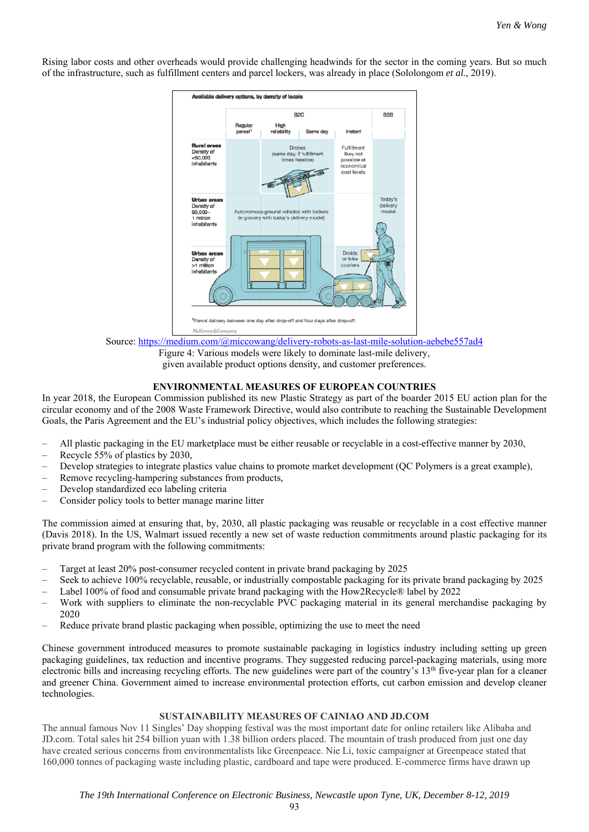Rising labor costs and other overheads would provide challenging headwinds for the sector in the coming years. But so much of the infrastructure, such as fulfillment centers and parcel lockers, was already in place (Sololongom *et al.*, 2019).



Source: https://medium.com/@miccowang/delivery-robots-as-last-mile-solution-aebebe557ad4

Figure 4: Various models were likely to dominate last-mile delivery, given available product options density, and customer preferences.

# **ENVIRONMENTAL MEASURES OF EUROPEAN COUNTRIES**

In year 2018, the European Commission published its new Plastic Strategy as part of the boarder 2015 EU action plan for the circular economy and of the 2008 Waste Framework Directive, would also contribute to reaching the Sustainable Development Goals, the Paris Agreement and the EU's industrial policy objectives, which includes the following strategies:

- All plastic packaging in the EU marketplace must be either reusable or recyclable in a cost-effective manner by 2030,
- Recycle 55% of plastics by 2030,
- Develop strategies to integrate plastics value chains to promote market development (QC Polymers is a great example),
- Remove recycling-hampering substances from products,
- Develop standardized eco labeling criteria
- Consider policy tools to better manage marine litter

The commission aimed at ensuring that, by, 2030, all plastic packaging was reusable or recyclable in a cost effective manner (Davis 2018). In the US, Walmart issued recently a new set of waste reduction commitments around plastic packaging for its private brand program with the following commitments:

- Target at least 20% post-consumer recycled content in private brand packaging by 2025
- Seek to achieve 100% recyclable, reusable, or industrially compostable packaging for its private brand packaging by 2025
- Label 100% of food and consumable private brand packaging with the How2Recycle® label by 2022
- Work with suppliers to eliminate the non-recyclable PVC packaging material in its general merchandise packaging by 2020
- Reduce private brand plastic packaging when possible, optimizing the use to meet the need

Chinese government introduced measures to promote sustainable packaging in logistics industry including setting up green packaging guidelines, tax reduction and incentive programs. They suggested reducing parcel-packaging materials, using more electronic bills and increasing recycling efforts. The new guidelines were part of the country's  $13<sup>th</sup>$  five-year plan for a cleaner and greener China. Government aimed to increase environmental protection efforts, cut carbon emission and develop cleaner technologies.

## **SUSTAINABILITY MEASURES OF CAINIAO AND JD.COM**

The annual famous Nov 11 Singles' Day shopping festival was the most important date for online retailers like Alibaba and JD.com. Total sales hit 254 billion yuan with 1.38 billion orders placed. The mountain of trash produced from just one day have created serious concerns from environmentalists like Greenpeace. Nie Li, toxic campaigner at Greenpeace stated that 160,000 tonnes of packaging waste including plastic, cardboard and tape were produced. E-commerce firms have drawn up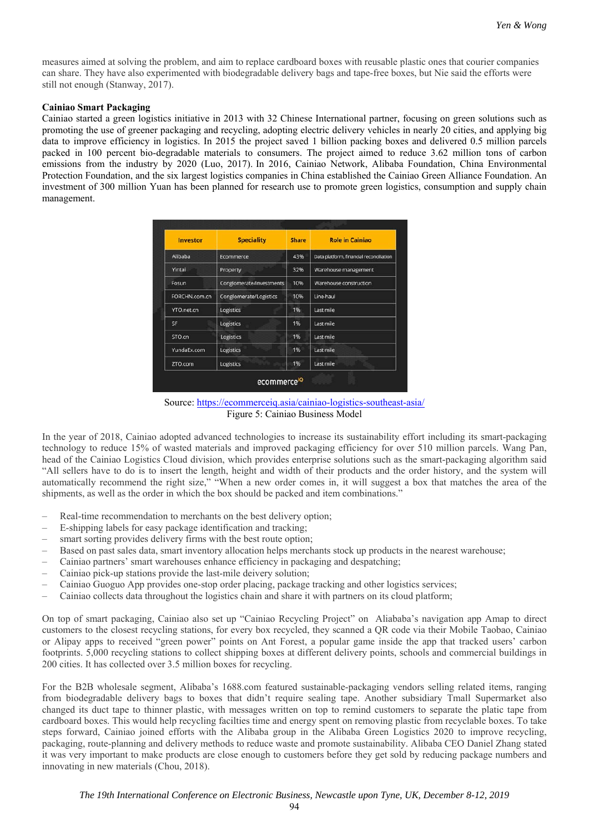measures aimed at solving the problem, and aim to replace cardboard boxes with reusable plastic ones that courier companies can share. They have also experimented with biodegradable delivery bags and tape-free boxes, but Nie said the efforts were still not enough (Stanway, 2017).

## **Cainiao Smart Packaging**

Cainiao started a green logistics initiative in 2013 with 32 Chinese International partner, focusing on green solutions such as promoting the use of greener packaging and recycling, adopting electric delivery vehicles in nearly 20 cities, and applying big data to improve efficiency in logistics. In 2015 the project saved 1 billion packing boxes and delivered 0.5 million parcels packed in 100 percent bio-degradable materials to consumers. The project aimed to reduce 3.62 million tons of carbon emissions from the industry by 2020 (Luo, 2017). In 2016, Cainiao Network, Alibaba Foundation, China Environmental Protection Foundation, and the six largest logistics companies in China established the Cainiao Green Alliance Foundation. An investment of 300 million Yuan has been planned for research use to promote green logistics, consumption and supply chain management.

| <b>Investor</b> | <b>Speciality</b>        | <b>Share</b> | <b>Role in Cainiao</b>                  |
|-----------------|--------------------------|--------------|-----------------------------------------|
| Alibaba         | Ecommerce                | 43%          | Data platform, financial reconciliation |
| Yintai          | Property                 | 32%          | Warehouse management                    |
| Fosun           | Conglomerate/Investments | 10%          | Warehouse construction                  |
| FORCHN.com.cn   | Conglomerate/Logistics   | 10%          | Line-haul                               |
| YTO.net.cn      | Logistics                | 1%           | Last mile                               |
| SF              | Logistics                | 1%           | Last mile                               |
| STO.cn          | Logistics                | 1%           | Last mile                               |
| YundaEx.com     | Logistics                | 1%           | Last mile                               |
| ZTO.com         | Logistics                | 1%           | Last mile                               |

Source: https://ecommerceiq.asia/cainiao-logistics-southeast-asia/ Figure 5: Cainiao Business Model

In the year of 2018, Cainiao adopted advanced technologies to increase its sustainability effort including its smart-packaging technology to reduce 15% of wasted materials and improved packaging efficiency for over 510 million parcels. Wang Pan, head of the Cainiao Logistics Cloud division, which provides enterprise solutions such as the smart-packaging algorithm said "All sellers have to do is to insert the length, height and width of their products and the order history, and the system will automatically recommend the right size," "When a new order comes in, it will suggest a box that matches the area of the shipments, as well as the order in which the box should be packed and item combinations."

- Real-time recommendation to merchants on the best delivery option;
- E-shipping labels for easy package identification and tracking;
- smart sorting provides delivery firms with the best route option;
- Based on past sales data, smart inventory allocation helps merchants stock up products in the nearest warehouse;
- Cainiao partners' smart warehouses enhance efficiency in packaging and despatching;
- Cainiao pick-up stations provide the last-mile deivery solution;
- Cainiao Guoguo App provides one-stop order placing, package tracking and other logistics services;
- Cainiao collects data throughout the logistics chain and share it with partners on its cloud platform;

On top of smart packaging, Cainiao also set up "Cainiao Recycling Project" on Aliababa's navigation app Amap to direct customers to the closest recycling stations, for every box recycled, they scanned a QR code via their Mobile Taobao, Cainiao or Alipay apps to received "green power" points on Ant Forest, a popular game inside the app that tracked users' carbon footprints. 5,000 recycling stations to collect shipping boxes at different delivery points, schools and commercial buildings in 200 cities. It has collected over 3.5 million boxes for recycling.

For the B2B wholesale segment, Alibaba's 1688.com featured sustainable-packaging vendors selling related items, ranging from biodegradable delivery bags to boxes that didn't require sealing tape. Another subsidiary Tmall Supermarket also changed its duct tape to thinner plastic, with messages written on top to remind customers to separate the platic tape from cardboard boxes. This would help recycling facilties time and energy spent on removing plastic from recyclable boxes. To take steps forward, Cainiao joined efforts with the Alibaba group in the Alibaba Green Logistics 2020 to improve recycling, packaging, route-planning and delivery methods to reduce waste and promote sustainability. Alibaba CEO Daniel Zhang stated it was very important to make products are close enough to customers before they get sold by reducing package numbers and innovating in new materials (Chou, 2018).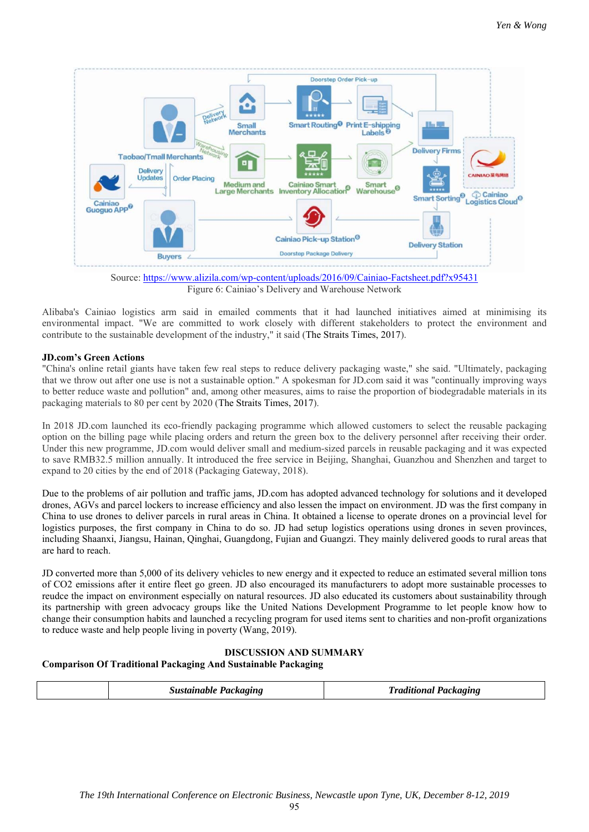

Source: https://www.alizila.com/wp-content/uploads/2016/09/Cainiao-Factsheet.pdf?x95431 Figure 6: Cainiao's Delivery and Warehouse Network

Alibaba's Cainiao logistics arm said in emailed comments that it had launched initiatives aimed at minimising its environmental impact. "We are committed to work closely with different stakeholders to protect the environment and contribute to the sustainable development of the industry," it said (The Straits Times, 2017).

# **JD.com's Green Actions**

"China's online retail giants have taken few real steps to reduce delivery packaging waste," she said. "Ultimately, packaging that we throw out after one use is not a sustainable option." A spokesman for JD.com said it was "continually improving ways to better reduce waste and pollution" and, among other measures, aims to raise the proportion of biodegradable materials in its packaging materials to 80 per cent by 2020 (The Straits Times, 2017).

In 2018 JD.com launched its eco-friendly packaging programme which allowed customers to select the reusable packaging option on the billing page while placing orders and return the green box to the delivery personnel after receiving their order. Under this new programme, JD.com would deliver small and medium-sized parcels in reusable packaging and it was expected to save RMB32.5 million annually. It introduced the free service in Beijing, Shanghai, Guanzhou and Shenzhen and target to expand to 20 cities by the end of 2018 (Packaging Gateway, 2018).

Due to the problems of air pollution and traffic jams, JD.com has adopted advanced technology for solutions and it developed drones, AGVs and parcel lockers to increase efficiency and also lessen the impact on environment. JD was the first company in China to use drones to deliver parcels in rural areas in China. It obtained a license to operate drones on a provincial level for logistics purposes, the first company in China to do so. JD had setup logistics operations using drones in seven provinces, including Shaanxi, Jiangsu, Hainan, Qinghai, Guangdong, Fujian and Guangzi. They mainly delivered goods to rural areas that are hard to reach.

JD converted more than 5,000 of its delivery vehicles to new energy and it expected to reduce an estimated several million tons of CO2 emissions after it entire fleet go green. JD also encouraged its manufacturers to adopt more sustainable processes to reudce the impact on environment especially on natural resources. JD also educated its customers about sustainability through its partnership with green advocacy groups like the United Nations Development Programme to let people know how to change their consumption habits and launched a recycling program for used items sent to charities and non-profit organizations to reduce waste and help people living in poverty (Wang, 2019).

# **DISCUSSION AND SUMMARY**

# **Comparison Of Traditional Packaging And Sustainable Packaging**

| Sustainable Packaging<br>Packaging<br>'radif |
|----------------------------------------------|
|----------------------------------------------|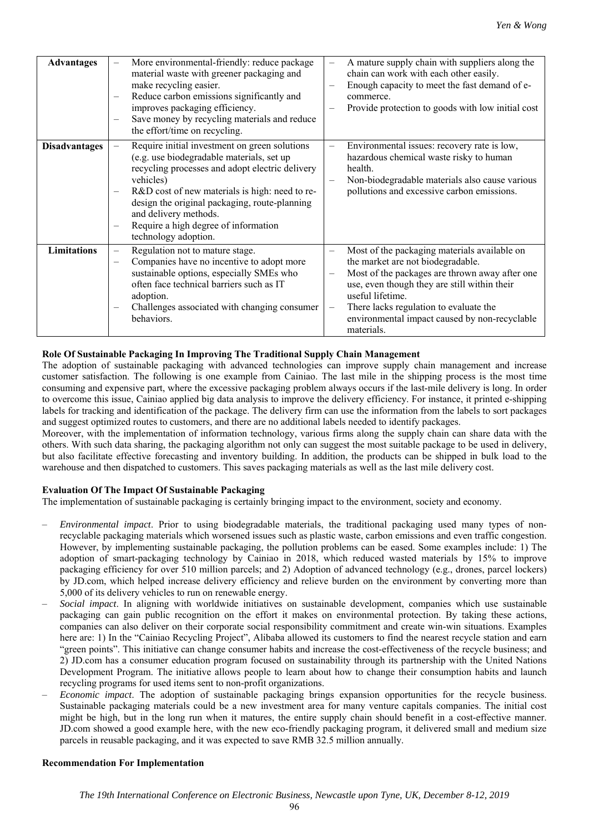| <b>Advantages</b>    | More environmental-friendly: reduce package<br>material waste with greener packaging and<br>make recycling easier.<br>Reduce carbon emissions significantly and<br>$\qquad \qquad -$<br>improves packaging efficiency.<br>Save money by recycling materials and reduce<br>$\qquad \qquad -$<br>the effort/time on recycling.                                                                            | A mature supply chain with suppliers along the<br>chain can work with each other easily.<br>Enough capacity to meet the fast demand of e-<br>commerce.<br>Provide protection to goods with low initial cost                                                                                                                                  |
|----------------------|---------------------------------------------------------------------------------------------------------------------------------------------------------------------------------------------------------------------------------------------------------------------------------------------------------------------------------------------------------------------------------------------------------|----------------------------------------------------------------------------------------------------------------------------------------------------------------------------------------------------------------------------------------------------------------------------------------------------------------------------------------------|
| <b>Disadvantages</b> | Require initial investment on green solutions<br>(e.g. use biodegradable materials, set up<br>recycling processes and adopt electric delivery<br>vehicles)<br>R&D cost of new materials is high: need to re-<br>$\overline{\phantom{m}}$<br>design the original packaging, route-planning<br>and delivery methods.<br>Require a high degree of information<br>$\qquad \qquad -$<br>technology adoption. | Environmental issues: recovery rate is low,<br>hazardous chemical waste risky to human<br>health.<br>Non-biodegradable materials also cause various<br>pollutions and excessive carbon emissions.                                                                                                                                            |
| <b>Limitations</b>   | Regulation not to mature stage.<br>$\overline{\phantom{0}}$<br>Companies have no incentive to adopt more<br>sustainable options, especially SMEs who<br>often face technical barriers such as IT<br>adoption.<br>Challenges associated with changing consumer<br>$\qquad \qquad -$<br>behaviors.                                                                                                        | Most of the packaging materials available on<br>the market are not biodegradable.<br>Most of the packages are thrown away after one<br>$\overline{\phantom{0}}$<br>use, even though they are still within their<br>useful lifetime.<br>There lacks regulation to evaluate the<br>environmental impact caused by non-recyclable<br>materials. |

# **Role Of Sustainable Packaging In Improving The Traditional Supply Chain Management**

The adoption of sustainable packaging with advanced technologies can improve supply chain management and increase customer satisfaction. The following is one example from Cainiao. The last mile in the shipping process is the most time consuming and expensive part, where the excessive packaging problem always occurs if the last-mile delivery is long. In order to overcome this issue, Cainiao applied big data analysis to improve the delivery efficiency. For instance, it printed e-shipping labels for tracking and identification of the package. The delivery firm can use the information from the labels to sort packages and suggest optimized routes to customers, and there are no additional labels needed to identify packages.

Moreover, with the implementation of information technology, various firms along the supply chain can share data with the others. With such data sharing, the packaging algorithm not only can suggest the most suitable package to be used in delivery, but also facilitate effective forecasting and inventory building. In addition, the products can be shipped in bulk load to the warehouse and then dispatched to customers. This saves packaging materials as well as the last mile delivery cost.

## **Evaluation Of The Impact Of Sustainable Packaging**

The implementation of sustainable packaging is certainly bringing impact to the environment, society and economy.

- *Environmental impact*. Prior to using biodegradable materials, the traditional packaging used many types of nonrecyclable packaging materials which worsened issues such as plastic waste, carbon emissions and even traffic congestion. However, by implementing sustainable packaging, the pollution problems can be eased. Some examples include: 1) The adoption of smart-packaging technology by Cainiao in 2018, which reduced wasted materials by 15% to improve packaging efficiency for over 510 million parcels; and 2) Adoption of advanced technology (e.g., drones, parcel lockers) by JD.com, which helped increase delivery efficiency and relieve burden on the environment by converting more than 5,000 of its delivery vehicles to run on renewable energy.
- *Social impact*. In aligning with worldwide initiatives on sustainable development, companies which use sustainable packaging can gain public recognition on the effort it makes on environmental protection. By taking these actions, companies can also deliver on their corporate social responsibility commitment and create win-win situations. Examples here are: 1) In the "Cainiao Recycling Project", Alibaba allowed its customers to find the nearest recycle station and earn "green points". This initiative can change consumer habits and increase the cost-effectiveness of the recycle business; and 2) JD.com has a consumer education program focused on sustainability through its partnership with the United Nations Development Program. The initiative allows people to learn about how to change their consumption habits and launch recycling programs for used items sent to non-profit organizations.
- *Economic impact*. The adoption of sustainable packaging brings expansion opportunities for the recycle business. Sustainable packaging materials could be a new investment area for many venture capitals companies. The initial cost might be high, but in the long run when it matures, the entire supply chain should benefit in a cost-effective manner. JD.com showed a good example here, with the new eco-friendly packaging program, it delivered small and medium size parcels in reusable packaging, and it was expected to save RMB 32.5 million annually.

#### **Recommendation For Implementation**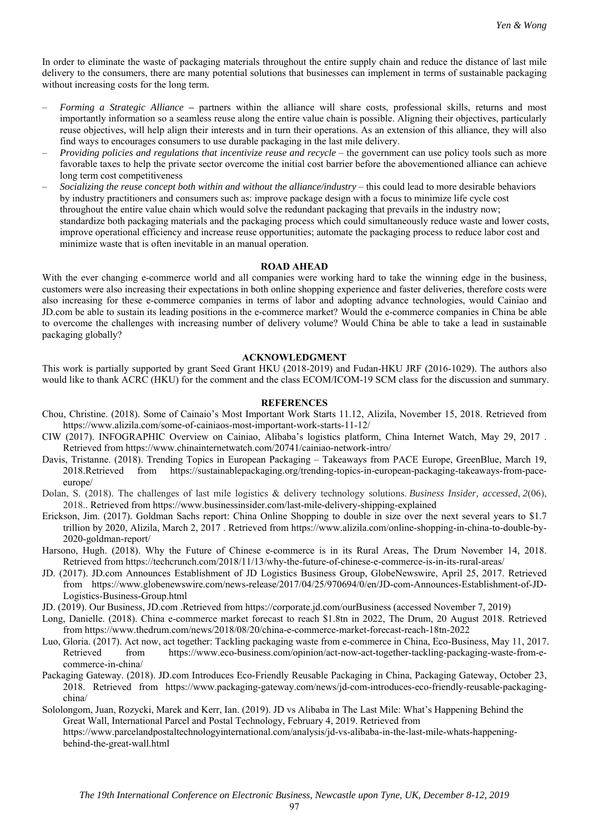In order to eliminate the waste of packaging materials throughout the entire supply chain and reduce the distance of last mile delivery to the consumers, there are many potential solutions that businesses can implement in terms of sustainable packaging without increasing costs for the long term.

- *Forming a Strategic Alliance* **–** partners within the alliance will share costs, professional skills, returns and most importantly information so a seamless reuse along the entire value chain is possible. Aligning their objectives, particularly reuse objectives, will help align their interests and in turn their operations. As an extension of this alliance, they will also find ways to encourages consumers to use durable packaging in the last mile delivery.
- *Providing policies and regulations that incentivize reuse and recycle* the government can use policy tools such as more favorable taxes to help the private sector overcome the initial cost barrier before the abovementioned alliance can achieve long term cost competitiveness
- *Socializing the reuse concept both within and without the alliance/industry* this could lead to more desirable behaviors by industry practitioners and consumers such as: improve package design with a focus to minimize life cycle cost throughout the entire value chain which would solve the redundant packaging that prevails in the industry now; standardize both packaging materials and the packaging process which could simultaneously reduce waste and lower costs, improve operational efficiency and increase reuse opportunities; automate the packaging process to reduce labor cost and minimize waste that is often inevitable in an manual operation.

### **ROAD AHEAD**

With the ever changing e-commerce world and all companies were working hard to take the winning edge in the business, customers were also increasing their expectations in both online shopping experience and faster deliveries, therefore costs were also increasing for these e-commerce companies in terms of labor and adopting advance technologies, would Cainiao and JD.com be able to sustain its leading positions in the e-commerce market? Would the e-commerce companies in China be able to overcome the challenges with increasing number of delivery volume? Would China be able to take a lead in sustainable packaging globally?

#### **ACKNOWLEDGMENT**

This work is partially supported by grant Seed Grant HKU (2018-2019) and Fudan-HKU JRF (2016-1029). The authors also would like to thank ACRC (HKU) for the comment and the class ECOM/ICOM-19 SCM class for the discussion and summary.

#### **REFERENCES**

- Chou, Christine. (2018). Some of Cainaio's Most Important Work Starts 11.12, Alizila, November 15, 2018. Retrieved from https://www.alizila.com/some-of-cainiaos-most-important-work-starts-11-12/
- CIW (2017). INFOGRAPHIC Overview on Cainiao, Alibaba's logistics platform, China Internet Watch, May 29, 2017 . Retrieved from https://www.chinainternetwatch.com/20741/cainiao-network-intro/
- Davis, Tristanne. (2018). Trending Topics in European Packaging Takeaways from PACE Europe, GreenBlue, March 19, 2018.Retrieved from https://sustainablepackaging.org/trending-topics-in-european-packaging-takeaways-from-paceeurope/
- Dolan, S. (2018). The challenges of last mile logistics & delivery technology solutions. *Business Insider, accessed*, *2*(06), 2018.. Retrieved from https://www.businessinsider.com/last-mile-delivery-shipping-explained
- Erickson, Jim. (2017). Goldman Sachs report: China Online Shopping to double in size over the next several years to \$1.7 trillion by 2020, Alizila, March 2, 2017 . Retrieved from https://www.alizila.com/online-shopping-in-china-to-double-by-2020-goldman-report/
- Harsono, Hugh. (2018). Why the Future of Chinese e-commerce is in its Rural Areas, The Drum November 14, 2018. Retrieved from https://techcrunch.com/2018/11/13/why-the-future-of-chinese-e-commerce-is-in-its-rural-areas/
- JD. (2017). JD.com Announces Establishment of JD Logistics Business Group, GlobeNewswire, April 25, 2017. Retrieved from https://www.globenewswire.com/news-release/2017/04/25/970694/0/en/JD-com-Announces-Establishment-of-JD-Logistics-Business-Group.html
- JD. (2019). Our Business, JD.com .Retrieved from https://corporate.jd.com/ourBusiness (accessed November 7, 2019)
- Long, Danielle. (2018). China e-commerce market forecast to reach \$1.8tn in 2022, The Drum, 20 August 2018. Retrieved from https://www.thedrum.com/news/2018/08/20/china-e-commerce-market-forecast-reach-18tn-2022
- Luo, Gloria. (2017). Act now, act together: Tackling packaging waste from e-commerce in China, Eco-Business, May 11, 2017. Retrieved from https://www.eco-business.com/opinion/act-now-act-together-tackling-packaging-waste-from-ecommerce-in-china/
- Packaging Gateway. (2018). JD.com Introduces Eco-Friendly Reusable Packaging in China, Packaging Gateway, October 23, 2018. Retrieved from https://www.packaging-gateway.com/news/jd-com-introduces-eco-friendly-reusable-packagingchina/
- Sololongom, Juan, Rozycki, Marek and Kerr, Ian. (2019). JD vs Alibaba in The Last Mile: What's Happening Behind the Great Wall, International Parcel and Postal Technology, February 4, 2019. Retrieved from https://www.parcelandpostaltechnologyinternational.com/analysis/jd-vs-alibaba-in-the-last-mile-whats-happening-

behind-the-great-wall.html